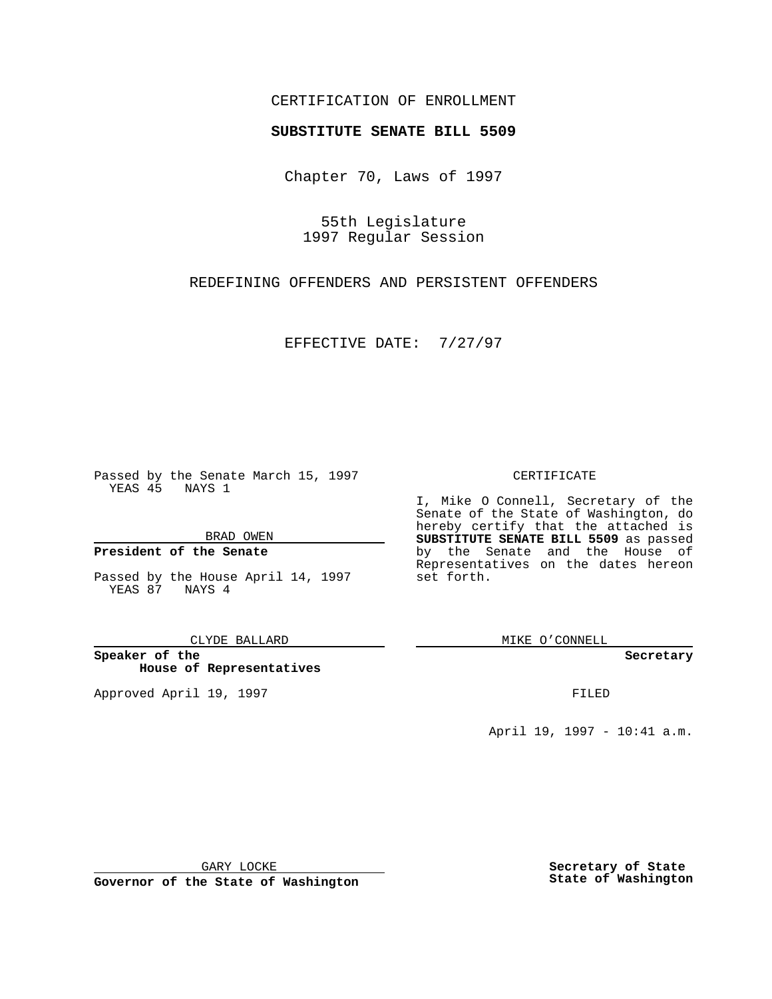## CERTIFICATION OF ENROLLMENT

# **SUBSTITUTE SENATE BILL 5509**

Chapter 70, Laws of 1997

55th Legislature 1997 Regular Session

REDEFINING OFFENDERS AND PERSISTENT OFFENDERS

EFFECTIVE DATE: 7/27/97

Passed by the Senate March 15, 1997 YEAS 45 NAYS 1

BRAD OWEN

### **President of the Senate**

Passed by the House April 14, 1997 YEAS 87 NAYS 4

CLYDE BALLARD

**Speaker of the House of Representatives**

Approved April 19, 1997 **FILED** 

#### CERTIFICATE

I, Mike O Connell, Secretary of the Senate of the State of Washington, do hereby certify that the attached is **SUBSTITUTE SENATE BILL 5509** as passed by the Senate and the House of Representatives on the dates hereon set forth.

MIKE O'CONNELL

**Secretary**

April 19, 1997 - 10:41 a.m.

GARY LOCKE

**Governor of the State of Washington**

**Secretary of State State of Washington**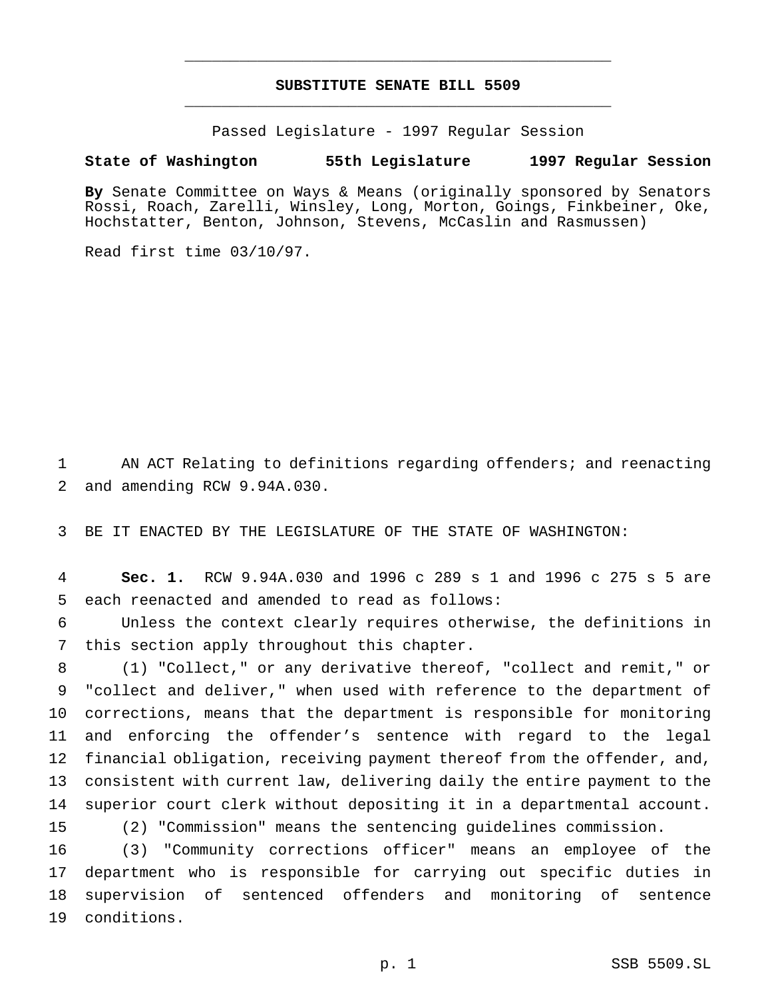## **SUBSTITUTE SENATE BILL 5509** \_\_\_\_\_\_\_\_\_\_\_\_\_\_\_\_\_\_\_\_\_\_\_\_\_\_\_\_\_\_\_\_\_\_\_\_\_\_\_\_\_\_\_\_\_\_\_

\_\_\_\_\_\_\_\_\_\_\_\_\_\_\_\_\_\_\_\_\_\_\_\_\_\_\_\_\_\_\_\_\_\_\_\_\_\_\_\_\_\_\_\_\_\_\_

Passed Legislature - 1997 Regular Session

### **State of Washington 55th Legislature 1997 Regular Session**

**By** Senate Committee on Ways & Means (originally sponsored by Senators Rossi, Roach, Zarelli, Winsley, Long, Morton, Goings, Finkbeiner, Oke, Hochstatter, Benton, Johnson, Stevens, McCaslin and Rasmussen)

Read first time 03/10/97.

 AN ACT Relating to definitions regarding offenders; and reenacting and amending RCW 9.94A.030.

BE IT ENACTED BY THE LEGISLATURE OF THE STATE OF WASHINGTON:

 **Sec. 1.** RCW 9.94A.030 and 1996 c 289 s 1 and 1996 c 275 s 5 are each reenacted and amended to read as follows:

 Unless the context clearly requires otherwise, the definitions in this section apply throughout this chapter.

 (1) "Collect," or any derivative thereof, "collect and remit," or "collect and deliver," when used with reference to the department of corrections, means that the department is responsible for monitoring and enforcing the offender's sentence with regard to the legal financial obligation, receiving payment thereof from the offender, and, consistent with current law, delivering daily the entire payment to the superior court clerk without depositing it in a departmental account. (2) "Commission" means the sentencing guidelines commission.

 (3) "Community corrections officer" means an employee of the department who is responsible for carrying out specific duties in supervision of sentenced offenders and monitoring of sentence conditions.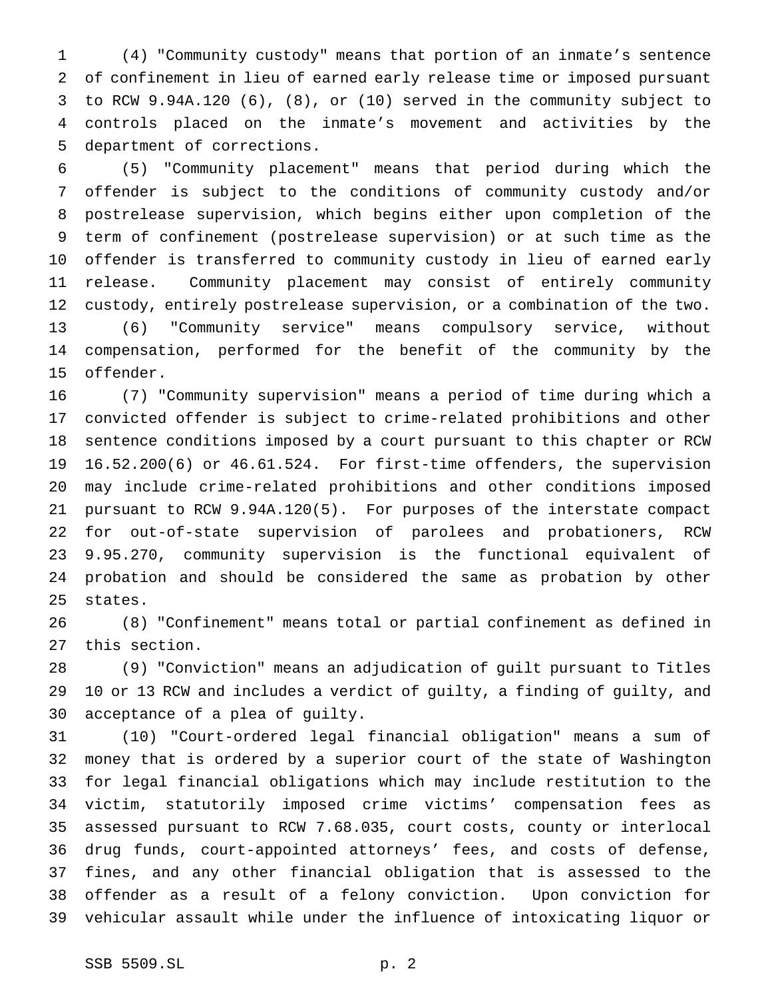(4) "Community custody" means that portion of an inmate's sentence of confinement in lieu of earned early release time or imposed pursuant to RCW 9.94A.120 (6), (8), or (10) served in the community subject to controls placed on the inmate's movement and activities by the department of corrections.

 (5) "Community placement" means that period during which the offender is subject to the conditions of community custody and/or postrelease supervision, which begins either upon completion of the term of confinement (postrelease supervision) or at such time as the offender is transferred to community custody in lieu of earned early release. Community placement may consist of entirely community custody, entirely postrelease supervision, or a combination of the two. (6) "Community service" means compulsory service, without compensation, performed for the benefit of the community by the offender.

 (7) "Community supervision" means a period of time during which a convicted offender is subject to crime-related prohibitions and other sentence conditions imposed by a court pursuant to this chapter or RCW 16.52.200(6) or 46.61.524. For first-time offenders, the supervision may include crime-related prohibitions and other conditions imposed pursuant to RCW 9.94A.120(5). For purposes of the interstate compact for out-of-state supervision of parolees and probationers, RCW 9.95.270, community supervision is the functional equivalent of probation and should be considered the same as probation by other states.

 (8) "Confinement" means total or partial confinement as defined in this section.

 (9) "Conviction" means an adjudication of guilt pursuant to Titles 10 or 13 RCW and includes a verdict of guilty, a finding of guilty, and acceptance of a plea of guilty.

 (10) "Court-ordered legal financial obligation" means a sum of money that is ordered by a superior court of the state of Washington for legal financial obligations which may include restitution to the victim, statutorily imposed crime victims' compensation fees as assessed pursuant to RCW 7.68.035, court costs, county or interlocal drug funds, court-appointed attorneys' fees, and costs of defense, fines, and any other financial obligation that is assessed to the offender as a result of a felony conviction. Upon conviction for vehicular assault while under the influence of intoxicating liquor or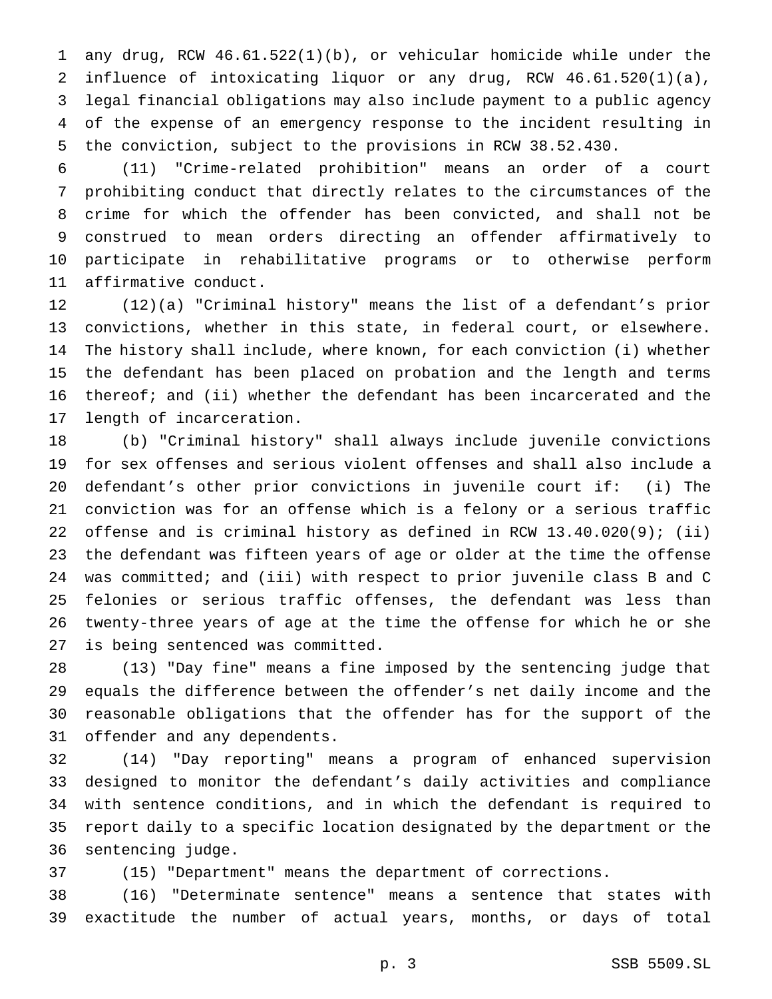any drug, RCW 46.61.522(1)(b), or vehicular homicide while under the influence of intoxicating liquor or any drug, RCW 46.61.520(1)(a), legal financial obligations may also include payment to a public agency of the expense of an emergency response to the incident resulting in the conviction, subject to the provisions in RCW 38.52.430.

 (11) "Crime-related prohibition" means an order of a court prohibiting conduct that directly relates to the circumstances of the crime for which the offender has been convicted, and shall not be construed to mean orders directing an offender affirmatively to participate in rehabilitative programs or to otherwise perform affirmative conduct.

 (12)(a) "Criminal history" means the list of a defendant's prior convictions, whether in this state, in federal court, or elsewhere. The history shall include, where known, for each conviction (i) whether the defendant has been placed on probation and the length and terms thereof; and (ii) whether the defendant has been incarcerated and the length of incarceration.

 (b) "Criminal history" shall always include juvenile convictions for sex offenses and serious violent offenses and shall also include a defendant's other prior convictions in juvenile court if: (i) The conviction was for an offense which is a felony or a serious traffic offense and is criminal history as defined in RCW 13.40.020(9); (ii) the defendant was fifteen years of age or older at the time the offense was committed; and (iii) with respect to prior juvenile class B and C felonies or serious traffic offenses, the defendant was less than twenty-three years of age at the time the offense for which he or she is being sentenced was committed.

 (13) "Day fine" means a fine imposed by the sentencing judge that equals the difference between the offender's net daily income and the reasonable obligations that the offender has for the support of the offender and any dependents.

 (14) "Day reporting" means a program of enhanced supervision designed to monitor the defendant's daily activities and compliance with sentence conditions, and in which the defendant is required to report daily to a specific location designated by the department or the sentencing judge.

(15) "Department" means the department of corrections.

 (16) "Determinate sentence" means a sentence that states with exactitude the number of actual years, months, or days of total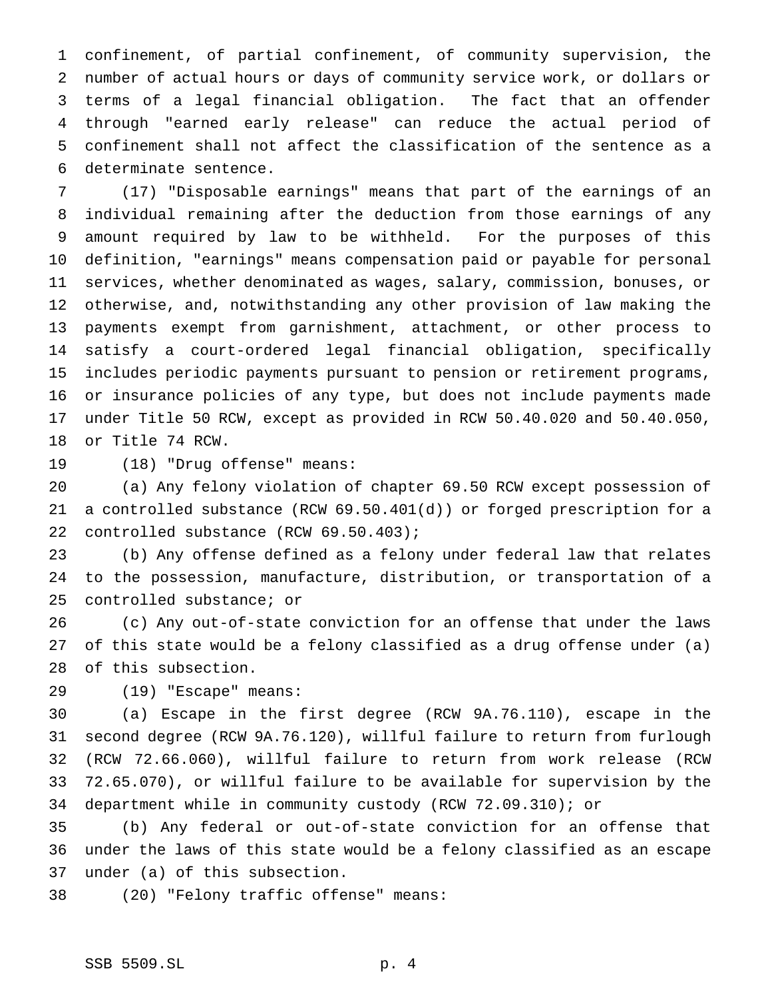confinement, of partial confinement, of community supervision, the number of actual hours or days of community service work, or dollars or terms of a legal financial obligation. The fact that an offender through "earned early release" can reduce the actual period of confinement shall not affect the classification of the sentence as a determinate sentence.

 (17) "Disposable earnings" means that part of the earnings of an individual remaining after the deduction from those earnings of any amount required by law to be withheld. For the purposes of this definition, "earnings" means compensation paid or payable for personal services, whether denominated as wages, salary, commission, bonuses, or otherwise, and, notwithstanding any other provision of law making the payments exempt from garnishment, attachment, or other process to satisfy a court-ordered legal financial obligation, specifically includes periodic payments pursuant to pension or retirement programs, or insurance policies of any type, but does not include payments made under Title 50 RCW, except as provided in RCW 50.40.020 and 50.40.050, or Title 74 RCW.

(18) "Drug offense" means:

 (a) Any felony violation of chapter 69.50 RCW except possession of a controlled substance (RCW 69.50.401(d)) or forged prescription for a controlled substance (RCW 69.50.403);

 (b) Any offense defined as a felony under federal law that relates to the possession, manufacture, distribution, or transportation of a controlled substance; or

 (c) Any out-of-state conviction for an offense that under the laws of this state would be a felony classified as a drug offense under (a) of this subsection.

(19) "Escape" means:

 (a) Escape in the first degree (RCW 9A.76.110), escape in the second degree (RCW 9A.76.120), willful failure to return from furlough (RCW 72.66.060), willful failure to return from work release (RCW 72.65.070), or willful failure to be available for supervision by the department while in community custody (RCW 72.09.310); or

 (b) Any federal or out-of-state conviction for an offense that under the laws of this state would be a felony classified as an escape under (a) of this subsection.

(20) "Felony traffic offense" means: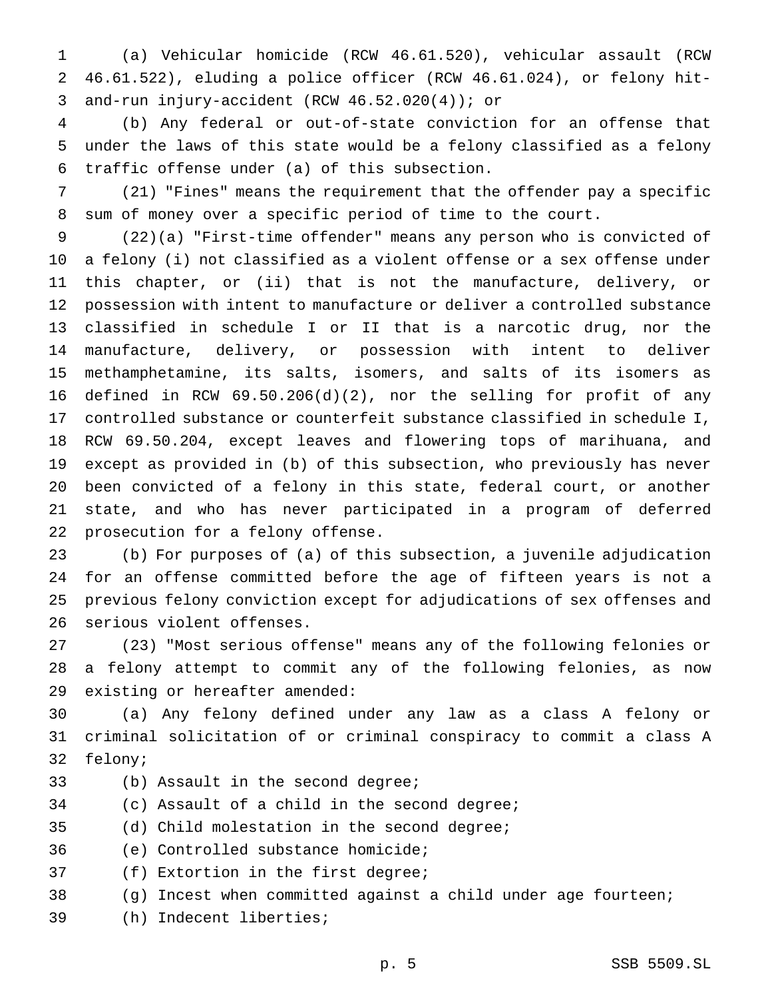(a) Vehicular homicide (RCW 46.61.520), vehicular assault (RCW 46.61.522), eluding a police officer (RCW 46.61.024), or felony hit-and-run injury-accident (RCW 46.52.020(4)); or

 (b) Any federal or out-of-state conviction for an offense that under the laws of this state would be a felony classified as a felony traffic offense under (a) of this subsection.

 (21) "Fines" means the requirement that the offender pay a specific sum of money over a specific period of time to the court.

 (22)(a) "First-time offender" means any person who is convicted of a felony (i) not classified as a violent offense or a sex offense under this chapter, or (ii) that is not the manufacture, delivery, or possession with intent to manufacture or deliver a controlled substance classified in schedule I or II that is a narcotic drug, nor the manufacture, delivery, or possession with intent to deliver methamphetamine, its salts, isomers, and salts of its isomers as defined in RCW 69.50.206(d)(2), nor the selling for profit of any controlled substance or counterfeit substance classified in schedule I, RCW 69.50.204, except leaves and flowering tops of marihuana, and except as provided in (b) of this subsection, who previously has never been convicted of a felony in this state, federal court, or another state, and who has never participated in a program of deferred prosecution for a felony offense.

 (b) For purposes of (a) of this subsection, a juvenile adjudication for an offense committed before the age of fifteen years is not a previous felony conviction except for adjudications of sex offenses and serious violent offenses.

 (23) "Most serious offense" means any of the following felonies or a felony attempt to commit any of the following felonies, as now existing or hereafter amended:

 (a) Any felony defined under any law as a class A felony or criminal solicitation of or criminal conspiracy to commit a class A felony;

- (b) Assault in the second degree;
- (c) Assault of a child in the second degree;

(d) Child molestation in the second degree;

(e) Controlled substance homicide;

(f) Extortion in the first degree;

(g) Incest when committed against a child under age fourteen;

(h) Indecent liberties;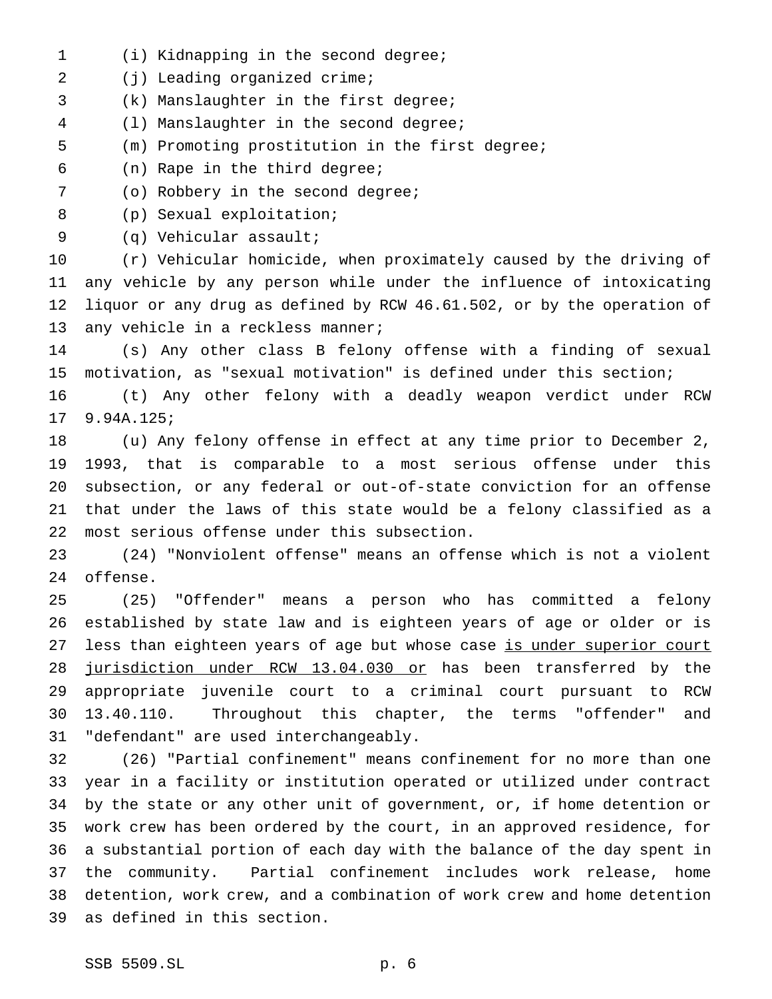- (i) Kidnapping in the second degree;
- 2 (j) Leading organized crime;
- (k) Manslaughter in the first degree;
- (l) Manslaughter in the second degree;
- (m) Promoting prostitution in the first degree;
- (n) Rape in the third degree;
- (o) Robbery in the second degree;
- (p) Sexual exploitation;
- 
- (q) Vehicular assault;

 (r) Vehicular homicide, when proximately caused by the driving of any vehicle by any person while under the influence of intoxicating liquor or any drug as defined by RCW 46.61.502, or by the operation of 13 any vehicle in a reckless manner;

 (s) Any other class B felony offense with a finding of sexual motivation, as "sexual motivation" is defined under this section;

 (t) Any other felony with a deadly weapon verdict under RCW 9.94A.125;

 (u) Any felony offense in effect at any time prior to December 2, 1993, that is comparable to a most serious offense under this subsection, or any federal or out-of-state conviction for an offense that under the laws of this state would be a felony classified as a most serious offense under this subsection.

 (24) "Nonviolent offense" means an offense which is not a violent offense.

 (25) "Offender" means a person who has committed a felony established by state law and is eighteen years of age or older or is 27 less than eighteen years of age but whose case is under superior court 28 jurisdiction under RCW 13.04.030 or has been transferred by the appropriate juvenile court to a criminal court pursuant to RCW 13.40.110. Throughout this chapter, the terms "offender" and "defendant" are used interchangeably.

 (26) "Partial confinement" means confinement for no more than one year in a facility or institution operated or utilized under contract by the state or any other unit of government, or, if home detention or work crew has been ordered by the court, in an approved residence, for a substantial portion of each day with the balance of the day spent in the community. Partial confinement includes work release, home detention, work crew, and a combination of work crew and home detention as defined in this section.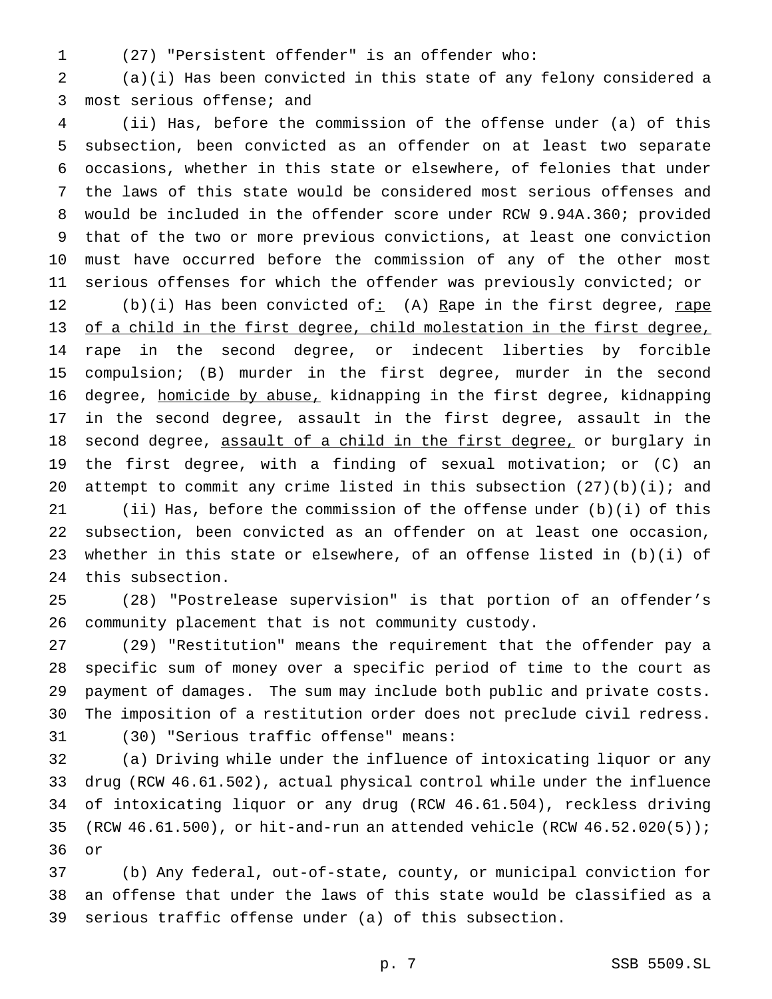(27) "Persistent offender" is an offender who:

 (a)(i) Has been convicted in this state of any felony considered a most serious offense; and

 (ii) Has, before the commission of the offense under (a) of this subsection, been convicted as an offender on at least two separate occasions, whether in this state or elsewhere, of felonies that under the laws of this state would be considered most serious offenses and would be included in the offender score under RCW 9.94A.360; provided that of the two or more previous convictions, at least one conviction must have occurred before the commission of any of the other most serious offenses for which the offender was previously convicted; or 12 (b)(i) Has been convicted of: (A) Rape in the first degree, rape 13 of a child in the first degree, child molestation in the first degree, rape in the second degree, or indecent liberties by forcible compulsion; (B) murder in the first degree, murder in the second 16 degree, homicide by abuse, kidnapping in the first degree, kidnapping in the second degree, assault in the first degree, assault in the 18 second degree, assault of a child in the first degree, or burglary in the first degree, with a finding of sexual motivation; or (C) an 20 attempt to commit any crime listed in this subsection  $(27)(b)(i)$ ; and

 (ii) Has, before the commission of the offense under (b)(i) of this subsection, been convicted as an offender on at least one occasion, whether in this state or elsewhere, of an offense listed in (b)(i) of this subsection.

 (28) "Postrelease supervision" is that portion of an offender's community placement that is not community custody.

 (29) "Restitution" means the requirement that the offender pay a specific sum of money over a specific period of time to the court as payment of damages. The sum may include both public and private costs. The imposition of a restitution order does not preclude civil redress.

(30) "Serious traffic offense" means:

 (a) Driving while under the influence of intoxicating liquor or any drug (RCW 46.61.502), actual physical control while under the influence of intoxicating liquor or any drug (RCW 46.61.504), reckless driving 35 (RCW  $46.61.500$ ), or hit-and-run an attended vehicle (RCW  $46.52.020(5)$ ); or

 (b) Any federal, out-of-state, county, or municipal conviction for an offense that under the laws of this state would be classified as a serious traffic offense under (a) of this subsection.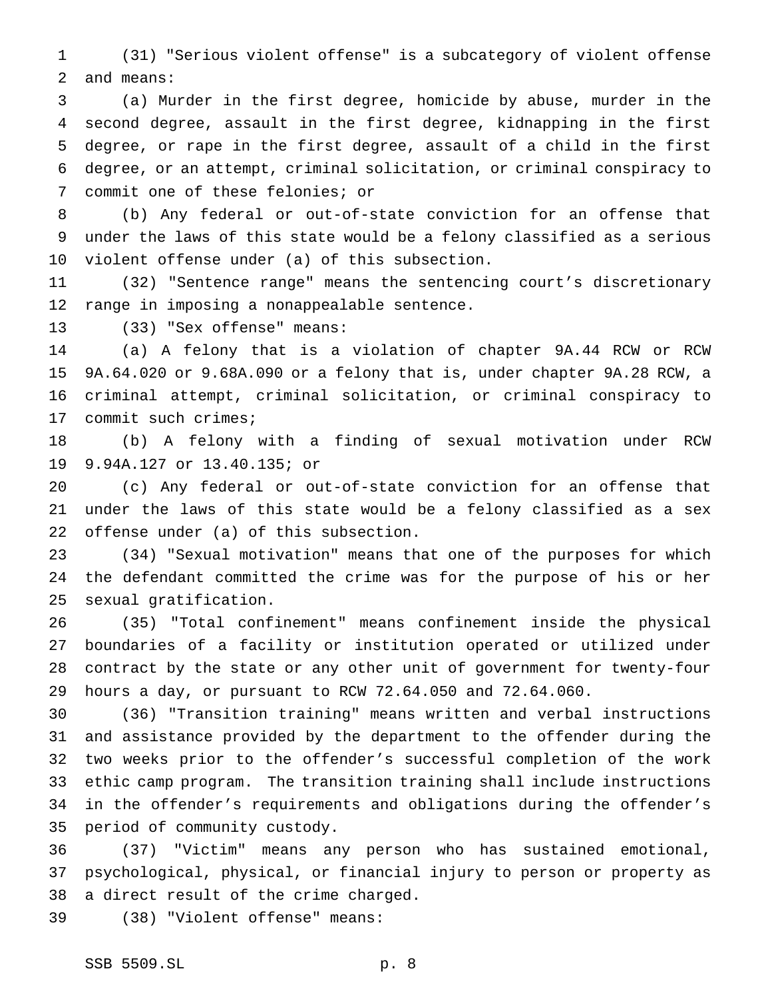(31) "Serious violent offense" is a subcategory of violent offense and means:

 (a) Murder in the first degree, homicide by abuse, murder in the second degree, assault in the first degree, kidnapping in the first degree, or rape in the first degree, assault of a child in the first degree, or an attempt, criminal solicitation, or criminal conspiracy to commit one of these felonies; or

 (b) Any federal or out-of-state conviction for an offense that under the laws of this state would be a felony classified as a serious violent offense under (a) of this subsection.

 (32) "Sentence range" means the sentencing court's discretionary range in imposing a nonappealable sentence.

(33) "Sex offense" means:

 (a) A felony that is a violation of chapter 9A.44 RCW or RCW 9A.64.020 or 9.68A.090 or a felony that is, under chapter 9A.28 RCW, a criminal attempt, criminal solicitation, or criminal conspiracy to commit such crimes;

 (b) A felony with a finding of sexual motivation under RCW 9.94A.127 or 13.40.135; or

 (c) Any federal or out-of-state conviction for an offense that under the laws of this state would be a felony classified as a sex offense under (a) of this subsection.

 (34) "Sexual motivation" means that one of the purposes for which the defendant committed the crime was for the purpose of his or her sexual gratification.

 (35) "Total confinement" means confinement inside the physical boundaries of a facility or institution operated or utilized under contract by the state or any other unit of government for twenty-four hours a day, or pursuant to RCW 72.64.050 and 72.64.060.

 (36) "Transition training" means written and verbal instructions and assistance provided by the department to the offender during the two weeks prior to the offender's successful completion of the work ethic camp program. The transition training shall include instructions in the offender's requirements and obligations during the offender's period of community custody.

 (37) "Victim" means any person who has sustained emotional, psychological, physical, or financial injury to person or property as a direct result of the crime charged.

(38) "Violent offense" means: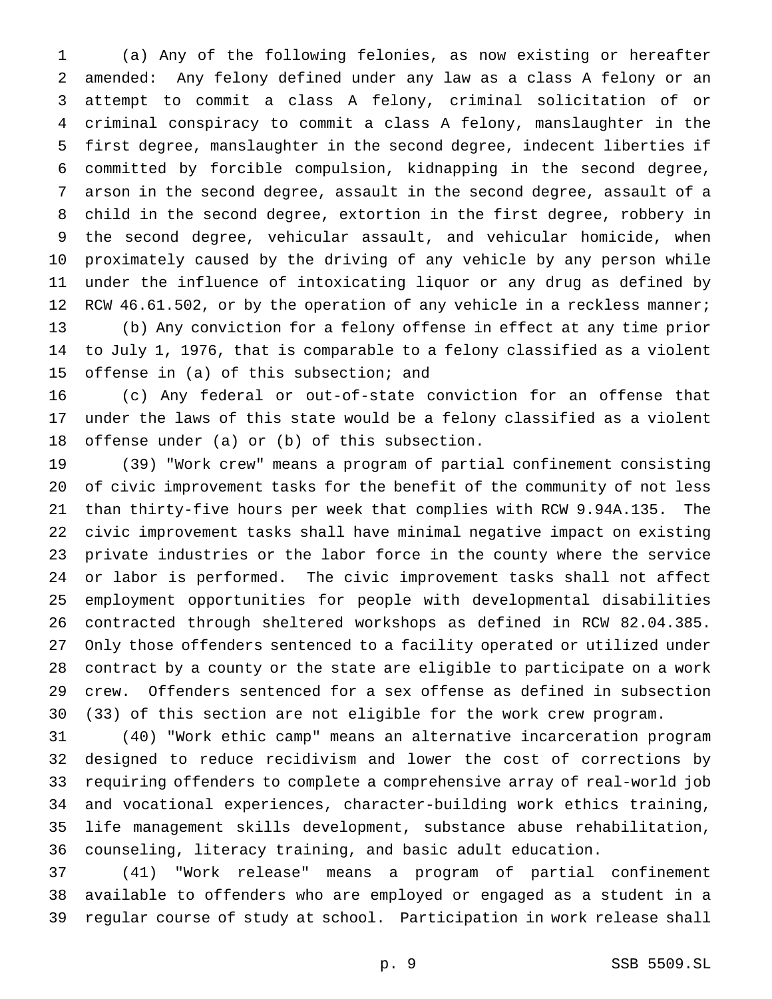(a) Any of the following felonies, as now existing or hereafter amended: Any felony defined under any law as a class A felony or an attempt to commit a class A felony, criminal solicitation of or criminal conspiracy to commit a class A felony, manslaughter in the first degree, manslaughter in the second degree, indecent liberties if committed by forcible compulsion, kidnapping in the second degree, arson in the second degree, assault in the second degree, assault of a child in the second degree, extortion in the first degree, robbery in the second degree, vehicular assault, and vehicular homicide, when proximately caused by the driving of any vehicle by any person while under the influence of intoxicating liquor or any drug as defined by 12 RCW 46.61.502, or by the operation of any vehicle in a reckless manner; (b) Any conviction for a felony offense in effect at any time prior to July 1, 1976, that is comparable to a felony classified as a violent offense in (a) of this subsection; and

 (c) Any federal or out-of-state conviction for an offense that under the laws of this state would be a felony classified as a violent offense under (a) or (b) of this subsection.

 (39) "Work crew" means a program of partial confinement consisting of civic improvement tasks for the benefit of the community of not less than thirty-five hours per week that complies with RCW 9.94A.135. The civic improvement tasks shall have minimal negative impact on existing private industries or the labor force in the county where the service or labor is performed. The civic improvement tasks shall not affect employment opportunities for people with developmental disabilities contracted through sheltered workshops as defined in RCW 82.04.385. Only those offenders sentenced to a facility operated or utilized under contract by a county or the state are eligible to participate on a work crew. Offenders sentenced for a sex offense as defined in subsection (33) of this section are not eligible for the work crew program.

 (40) "Work ethic camp" means an alternative incarceration program designed to reduce recidivism and lower the cost of corrections by requiring offenders to complete a comprehensive array of real-world job and vocational experiences, character-building work ethics training, life management skills development, substance abuse rehabilitation, counseling, literacy training, and basic adult education.

 (41) "Work release" means a program of partial confinement available to offenders who are employed or engaged as a student in a regular course of study at school. Participation in work release shall